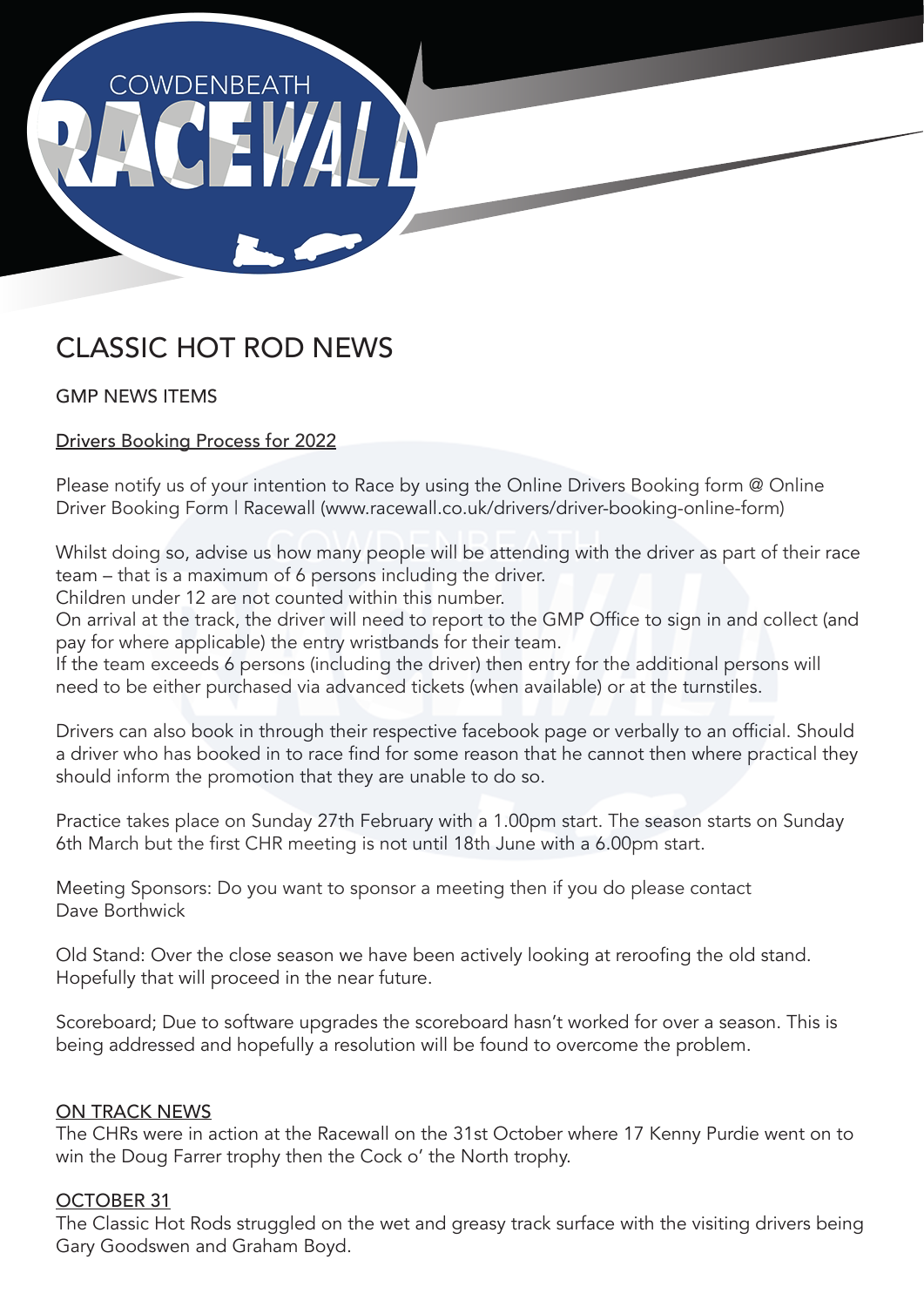

## CLASSIC HOT ROD NEWS

GMP NEWS ITEMS

Drivers Booking Process for 2022

Please notify us of your intention to Race by using the Online Drivers Booking form @ Online Driver Booking Form | Racewall (www.racewall.co.uk/drivers/driver-booking-online-form)

Whilst doing so, advise us how many people will be attending with the driver as part of their race team – that is a maximum of 6 persons including the driver.

Children under 12 are not counted within this number.

On arrival at the track, the driver will need to report to the GMP Office to sign in and collect (and pay for where applicable) the entry wristbands for their team.

If the team exceeds 6 persons (including the driver) then entry for the additional persons will need to be either purchased via advanced tickets (when available) or at the turnstiles.

Drivers can also book in through their respective facebook page or verbally to an official. Should a driver who has booked in to race find for some reason that he cannot then where practical they should inform the promotion that they are unable to do so.

Practice takes place on Sunday 27th February with a 1.00pm start. The season starts on Sunday 6th March but the first CHR meeting is not until 18th June with a 6.00pm start.

Meeting Sponsors: Do you want to sponsor a meeting then if you do please contact Dave Borthwick

Old Stand: Over the close season we have been actively looking at reroofing the old stand. Hopefully that will proceed in the near future.

Scoreboard; Due to software upgrades the scoreboard hasn't worked for over a season. This is being addressed and hopefully a resolution will be found to overcome the problem.

## ON TRACK NEWS

The CHRs were in action at the Racewall on the 31st October where 17 Kenny Purdie went on to win the Doug Farrer trophy then the Cock o' the North trophy.

## OCTOBER 31

The Classic Hot Rods struggled on the wet and greasy track surface with the visiting drivers being Gary Goodswen and Graham Boyd.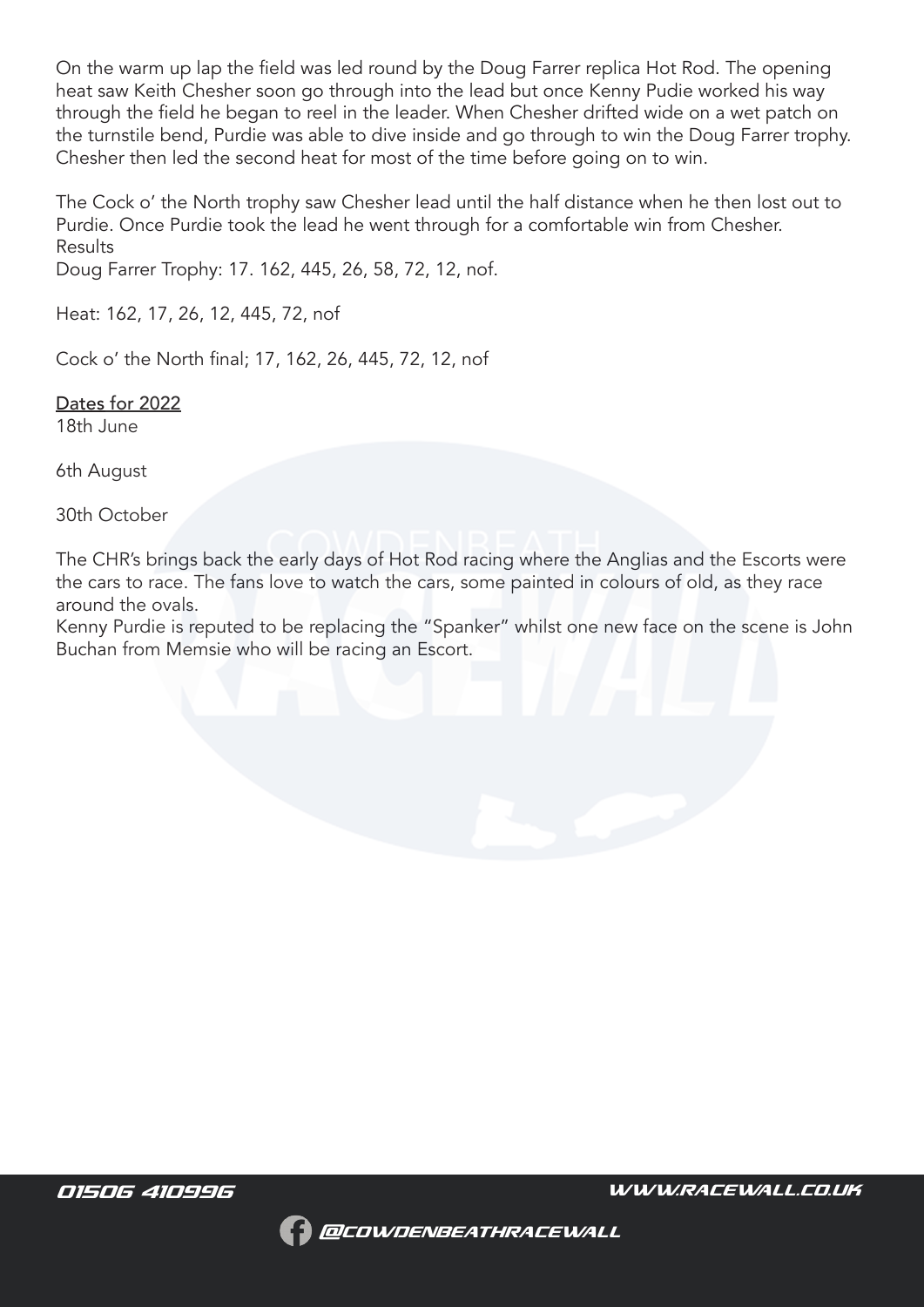On the warm up lap the field was led round by the Doug Farrer replica Hot Rod. The opening heat saw Keith Chesher soon go through into the lead but once Kenny Pudie worked his way through the field he began to reel in the leader. When Chesher drifted wide on a wet patch on the turnstile bend, Purdie was able to dive inside and go through to win the Doug Farrer trophy. Chesher then led the second heat for most of the time before going on to win.

The Cock o' the North trophy saw Chesher lead until the half distance when he then lost out to Purdie. Once Purdie took the lead he went through for a comfortable win from Chesher. Results

Doug Farrer Trophy: 17. 162, 445, 26, 58, 72, 12, nof.

Heat: 162, 17, 26, 12, 445, 72, nof

Cock o' the North final; 17, 162, 26, 445, 72, 12, nof

Dates for 2022 18th June

6th August

30th October

The CHR's brings back the early days of Hot Rod racing where the Anglias and the Escorts were the cars to race. The fans love to watch the cars, some painted in colours of old, as they race around the ovals.

Kenny Purdie is reputed to be replacing the "Spanker" whilst one new face on the scene is John Buchan from Memsie who will be racing an Escort.

*01506 410996 WWW.RACEWALL.CO.UK*